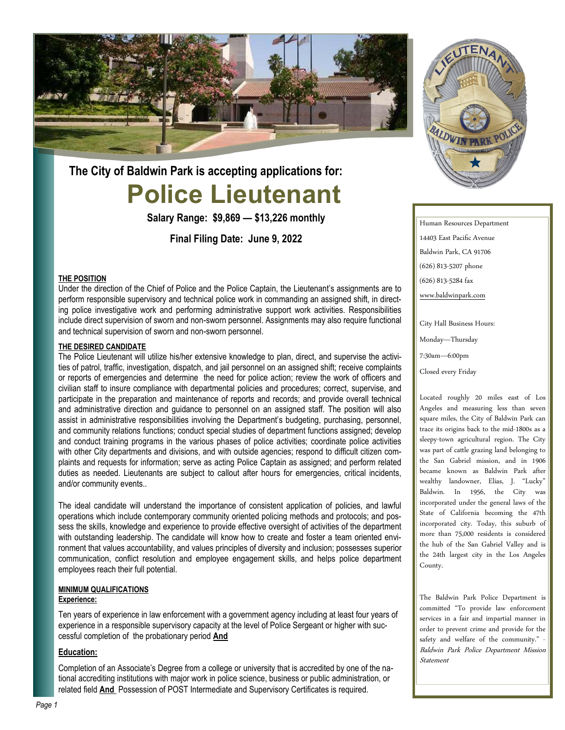

# **Police Lieutenant The City of Baldwin Park is accepting applications for:**

**Salary Range: \$9,869 — \$13,226 monthly**

**Final Filing Date: June 9, 2022**

## **THE POSITION**

Under the direction of the Chief of Police and the Police Captain, the Lieutenant's assignments are to perform responsible supervisory and technical police work in commanding an assigned shift, in directing police investigative work and performing administrative support work activities. Responsibilities include direct supervision of sworn and non-sworn personnel. Assignments may also require functional and technical supervision of sworn and non-sworn personnel.

#### **THE DESIRED CANDIDATE**

The Police Lieutenant will utilize his/her extensive knowledge to plan, direct, and supervise the activities of patrol, traffic, investigation, dispatch, and jail personnel on an assigned shift; receive complaints or reports of emergencies and determine the need for police action; review the work of officers and civilian staff to insure compliance with departmental policies and procedures; correct, supervise, and participate in the preparation and maintenance of reports and records; and provide overall technical and administrative direction and guidance to personnel on an assigned staff. The position will also assist in administrative responsibilities involving the Department's budgeting, purchasing, personnel, and community relations functions; conduct special studies of department functions assigned; develop and conduct training programs in the various phases of police activities; coordinate police activities with other City departments and divisions, and with outside agencies; respond to difficult citizen complaints and requests for information; serve as acting Police Captain as assigned; and perform related duties as needed. Lieutenants are subject to callout after hours for emergencies, critical incidents, and/or community events..

The ideal candidate will understand the importance of consistent application of policies, and lawful operations which include contemporary community oriented policing methods and protocols; and possess the skills, knowledge and experience to provide effective oversight of activities of the department with outstanding leadership. The candidate will know how to create and foster a team oriented environment that values accountability, and values principles of diversity and inclusion; possesses superior communication, conflict resolution and employee engagement skills, and helps police department employees reach their full potential.

#### **MINIMUM QUALIFICATIONS**

## **Experience:**

Ten years of experience in law enforcement with a government agency including at least four years of experience in a responsible supervisory capacity at the level of Police Sergeant or higher with successful completion of the probationary period **And**

#### **Education:**

Completion of an Associate's Degree from a college or university that is accredited by one of the national accrediting institutions with major work in police science, business or public administration, or related field **And** Possession of POST Intermediate and Supervisory Certificates is required.



Human Resources Department 14403 East Pacific Avenue Baldwin Park, CA 91706 (626) 813-5207 phone (626) 813-5284 fax [www.baldwinpark.com](http://www.baldwinpark.com)

City Hall Business Hours: Monday—Thursday

7:30am—6:00pm

Closed every Friday

Located roughly 20 miles east of Los Angeles and measuring less than seven square miles, the City of Baldwin Park can trace its origins back to the mid-1800s as a sleepy-town agricultural region. The City was part of cattle grazing land belonging to the San Gabriel mission, and in 1906 became known as Baldwin Park after wealthy landowner, Elias, J. "Lucky" Baldwin. In 1956, the City was incorporated under the general laws of the State of California becoming the 47th incorporated city. Today, this suburb of more than 75,000 residents is considered the hub of the San Gabriel Valley and is the 24th largest city in the Los Angeles County.

The Baldwin Park Police Department is committed "To provide law enforcement services in a fair and impartial manner in order to prevent crime and provide for the safety and welfare of the community." - Baldwin Park Police Department Mission Statement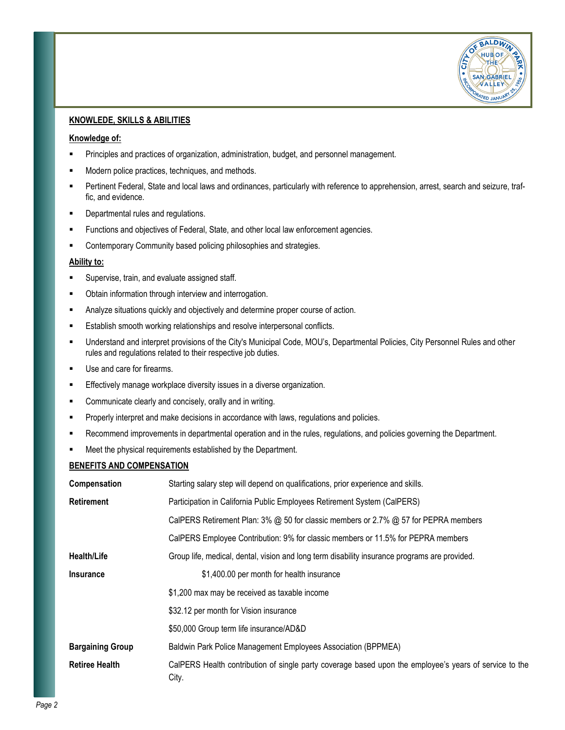

# **KNOWLEDE, SKILLS & ABILITIES**

#### **Knowledge of:**

- Principles and practices of organization, administration, budget, and personnel management.
- Modern police practices, techniques, and methods.
- Pertinent Federal, State and local laws and ordinances, particularly with reference to apprehension, arrest, search and seizure, traffic, and evidence.
- Departmental rules and regulations.
- **EXECT** Functions and objectives of Federal, State, and other local law enforcement agencies.
- **EXECOM** Community based policing philosophies and strategies.

#### **Ability to:**

- Supervise, train, and evaluate assigned staff.
- Obtain information through interview and interrogation.
- **EXEDENT** Analyze situations quickly and objectively and determine proper course of action.
- **Establish smooth working relationships and resolve interpersonal conflicts.**
- Understand and interpret provisions of the City's Municipal Code, MOU's, Departmental Policies, City Personnel Rules and other rules and regulations related to their respective job duties.
- Use and care for firearms.
- **Effectively manage workplace diversity issues in a diverse organization.**
- Communicate clearly and concisely, orally and in writing.
- **Properly interpret and make decisions in accordance with laws, regulations and policies.**
- Recommend improvements in departmental operation and in the rules, regulations, and policies governing the Department.
- Meet the physical requirements established by the Department.

# **BENEFITS AND COMPENSATION**

| Compensation            | Starting salary step will depend on qualifications, prior experience and skills.                                |
|-------------------------|-----------------------------------------------------------------------------------------------------------------|
| <b>Retirement</b>       | Participation in California Public Employees Retirement System (CalPERS)                                        |
|                         | CalPERS Retirement Plan: 3% @ 50 for classic members or 2.7% @ 57 for PEPRA members                             |
|                         | CalPERS Employee Contribution: 9% for classic members or 11.5% for PEPRA members                                |
| <b>Health/Life</b>      | Group life, medical, dental, vision and long term disability insurance programs are provided.                   |
| <b>Insurance</b>        | \$1,400.00 per month for health insurance                                                                       |
|                         | \$1,200 max may be received as taxable income                                                                   |
|                         | \$32.12 per month for Vision insurance                                                                          |
|                         | \$50,000 Group term life insurance/AD&D                                                                         |
| <b>Bargaining Group</b> | Baldwin Park Police Management Employees Association (BPPMEA)                                                   |
| <b>Retiree Health</b>   | CalPERS Health contribution of single party coverage based upon the employee's years of service to the<br>City. |